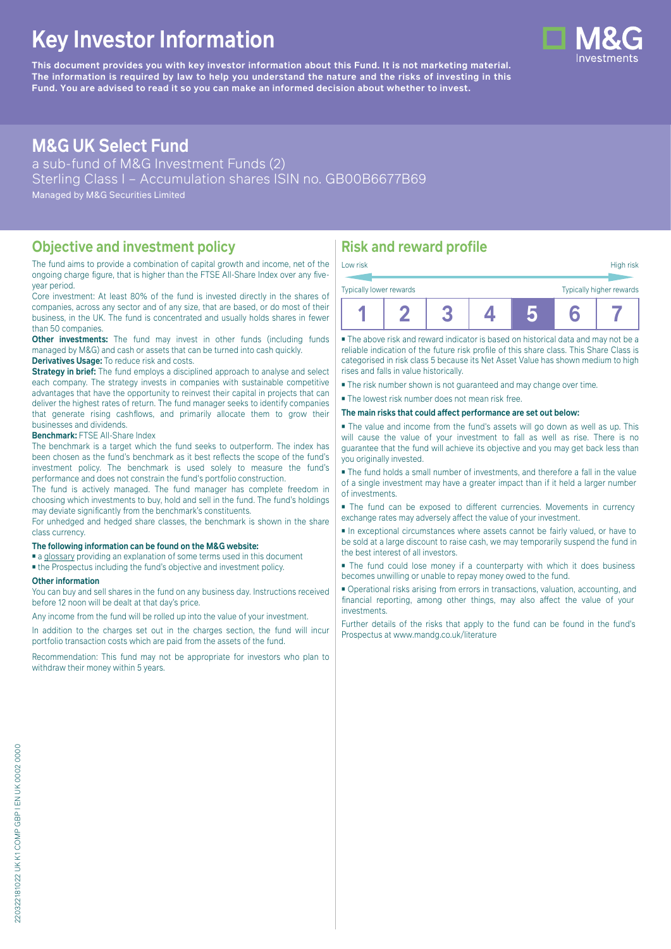# **Key Investor Information**

**This document provides you with key investor information about this Fund. It is not marketing material.** The information is required by law to help you understand the nature and the risks of investing in this **Fund. You are advised to read it so you can make an informed decision about whether to invest.**

# **M&G UK Select Fund**

a sub-fund of M&G Investment Funds (2) Sterling Class I – Accumulation shares ISIN no. GB00B6677B69 Managed by M&G Securities Limited

### **Objective and investment policy**

The fund aims to provide a combination of capital growth and income, net of the ongoing charge figure, that is higher than the FTSE All-Share Index over any fiveyear period.

Core investment: At least 80% of the fund is invested directly in the shares of companies, across any sector and of any size, that are based, or do most of their business, in the UK. The fund is concentrated and usually holds shares in fewer than 50 companies.

**Other investments:** The fund may invest in other funds (including funds) managed by M&G) and cash or assets that can be turned into cash quickly.

### **Derivatives Usage:** To reduce risk and costs.

**Strategy in brief:** The fund employs a disciplined approach to analyse and select each company. The strategy invests in companies with sustainable competitive advantages that have the opportunity to reinvest their capital in projects that can deliver the highest rates of return. The fund manager seeks to identify companies that generate rising cashflows, and primarily allocate them to grow their businesses and dividends.

#### **Benchmark:** FTSE All-Share Index

The benchmark is a target which the fund seeks to outperform. The index has been chosen as the fund's benchmark as it best reflects the scope of the fund's investment policy. The benchmark is used solely to measure the fund's performance and does not constrain the fund's portfolio construction.

The fund is actively managed. The fund manager has complete freedom in choosing which investments to buy, hold and sell in the fund. The fund's holdings may deviate significantly from the benchmark's constituents.

For unhedged and hedged share classes, the benchmark is shown in the share class currency.

#### **The following information can be found on the M&G website:**

- [a glossary](https://docs.mandg.com/docs/glossary-master-en.pdf) providing an explanation of some terms used in this document
- the Prospectus including the fund's objective and investment policy.

#### **Other information**

You can buy and sell shares in the fund on any business day. Instructions received before 12 noon will be dealt at that day's price.

Any income from the fund will be rolled up into the value of your investment.

In addition to the charges set out in the charges section, the fund will incur portfolio transaction costs which are paid from the assets of the fund.

Recommendation: This fund may not be appropriate for investors who plan to withdraw their money within 5 years.

# **Risk and reward profile**

| Low risk                                            |  |  |  |  |  | High risk |
|-----------------------------------------------------|--|--|--|--|--|-----------|
| Typically higher rewards<br>Typically lower rewards |  |  |  |  |  |           |
|                                                     |  |  |  |  |  |           |

■ The above risk and reward indicator is based on historical data and may not be a reliable indication of the future risk profile of this share class. This Share Class is categorised in risk class 5 because its Net Asset Value has shown medium to high rises and falls in value historically.

■ The risk number shown is not guaranteed and may change over time.

■ The lowest risk number does not mean risk free.

#### **The main risks that could affect performance are set out below:**

■ The value and income from the fund's assets will go down as well as up. This will cause the value of your investment to fall as well as rise. There is no guarantee that the fund will achieve its objective and you may get back less than you originally invested.

■ The fund holds a small number of investments, and therefore a fall in the value of a single investment may have a greater impact than if it held a larger number of investments.

■ The fund can be exposed to different currencies. Movements in currency exchange rates may adversely affect the value of your investment.

■ In exceptional circumstances where assets cannot be fairly valued, or have to be sold at a large discount to raise cash, we may temporarily suspend the fund in the best interest of all investors.

■ The fund could lose money if a counterparty with which it does business becomes unwilling or unable to repay money owed to the fund.

■ Operational risks arising from errors in transactions, valuation, accounting, and financial reporting, among other things, may also affect the value of your investments.

Further details of the risks that apply to the fund can be found in the fund's Prospectus at [www.mandg.co.uk/literature](http://www.mandg.co.uk/literature)